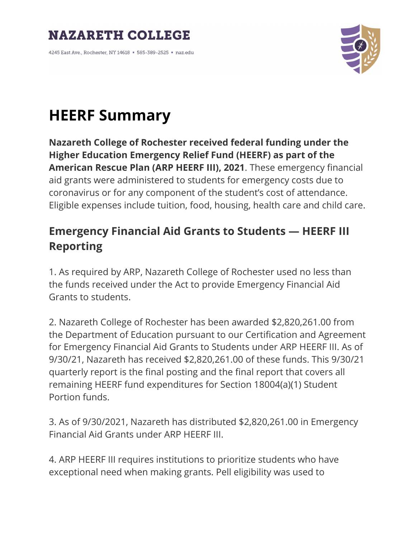## **NAZARETH COLLEGE**

4245 East Ave., Rochester, NY 14618 - 585-389-2525 - naz.edu



## **HEERF Summary**

**Nazareth College of Rochester received federal funding under the Higher Education Emergency Relief Fund (HEERF) as part of the American Rescue Plan (ARP HEERF III), 2021**. These emergency financial aid grants were administered to students for emergency costs due to coronavirus or for any component of the student's cost of attendance. Eligible expenses include tuition, food, housing, health care and child care.

## **Emergency Financial Aid Grants to Students — HEERF III Reporting**

1. As required by ARP, Nazareth College of Rochester used no less than the funds received under the Act to provide Emergency Financial Aid Grants to students.

2. Nazareth College of Rochester has been awarded \$2,820,261.00 from the Department of Education pursuant to our Certification and Agreement for Emergency Financial Aid Grants to Students under ARP HEERF III. As of 9/30/21, Nazareth has received \$2,820,261.00 of these funds. This 9/30/21 quarterly report is the final posting and the final report that covers all remaining HEERF fund expenditures for Section 18004(a)(1) Student Portion funds.

3. As of 9/30/2021, Nazareth has distributed \$2,820,261.00 in Emergency Financial Aid Grants under ARP HEERF III.

4. ARP HEERF III requires institutions to prioritize students who have exceptional need when making grants. Pell eligibility was used to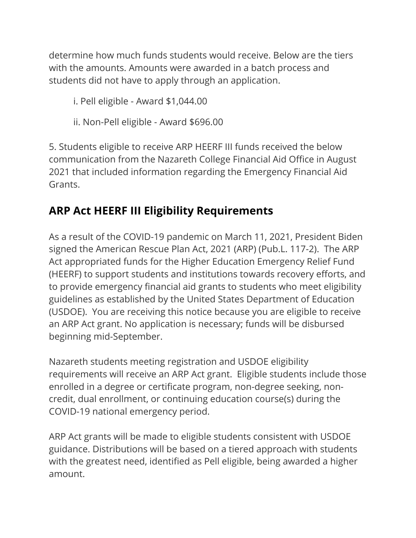determine how much funds students would receive. Below are the tiers with the amounts. Amounts were awarded in a batch process and students did not have to apply through an application.

i. Pell eligible - Award \$1,044.00

ii. Non-Pell eligible - Award \$696.00

5. Students eligible to receive ARP HEERF III funds received the below communication from the Nazareth College Financial Aid Office in August 2021 that included information regarding the Emergency Financial Aid Grants.

## **ARP Act HEERF III Eligibility Requirements**

As a result of the COVID-19 pandemic on March 11, 2021, President Biden signed the American Rescue Plan Act, 2021 (ARP) (Pub.L. 117-2). The ARP Act appropriated funds for the Higher Education Emergency Relief Fund (HEERF) to support students and institutions towards recovery efforts, and to provide emergency financial aid grants to students who meet eligibility guidelines as established by the United States Department of Education (USDOE). You are receiving this notice because you are eligible to receive an ARP Act grant. No application is necessary; funds will be disbursed beginning mid-September.

Nazareth students meeting registration and USDOE eligibility requirements will receive an ARP Act grant. Eligible students include those enrolled in a degree or certificate program, non-degree seeking, noncredit, dual enrollment, or continuing education course(s) during the COVID-19 national emergency period.

ARP Act grants will be made to eligible students consistent with USDOE guidance. Distributions will be based on a tiered approach with students with the greatest need, identified as Pell eligible, being awarded a higher amount.